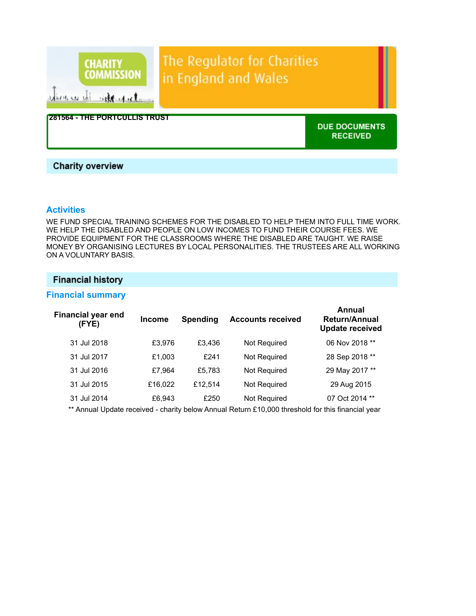

# **Charity overview**

# **Activities**

WE FUND SPECIAL TRAINING SCHEMES FOR THE DISABLED TO HELP THEM INTO FULL TIME WORK. WE HELP THE DISABLED AND PEOPLE ON LOW INCOMES TO FUND THEIR COURSE FEES. WE PROVIDE EQUIPMENT FOR THE CLASSROOMS WHERE THE DISABLED ARE TAUGHT. WE RAISE MONEY BY ORGANISING LECTURES BY LOCAL PERSONALITIES. THE TRUSTEES ARE ALL WORKING ON A VOLUNTARY BASIS.

# **Financial history**

# Financial summary

| <b>Financial year end</b><br>(FYE) | <b>Income</b> | <b>Spending</b> | <b>Accounts received</b>                                                                                                                  | Annual<br><b>Return/Annual</b><br><b>Update received</b> |
|------------------------------------|---------------|-----------------|-------------------------------------------------------------------------------------------------------------------------------------------|----------------------------------------------------------|
| 31 Jul 2018                        | £3,976        | £3.436          | Not Required                                                                                                                              | 06 Nov 2018 **                                           |
| 31 Jul 2017                        | £1,003        | £241            | Not Required                                                                                                                              | 28 Sep 2018 **                                           |
| 31 Jul 2016                        | £7,964        | £5.783          | Not Required                                                                                                                              | 29 May 2017 **                                           |
| 31 Jul 2015                        | £16,022       | £12.514         | Not Required                                                                                                                              | 29 Aug 2015                                              |
| 31 Jul 2014                        | £6,943        | £250            | Not Required                                                                                                                              | 07 Oct 2014 **                                           |
|                                    |               |                 | $\star\star$ A consist the distribution of the consistence of A consistent and A COO through the fact that a factor of the consistence of |                                                          |

\*\* Annual Update received - charity below Annual Return £10,000 threshold for this financial year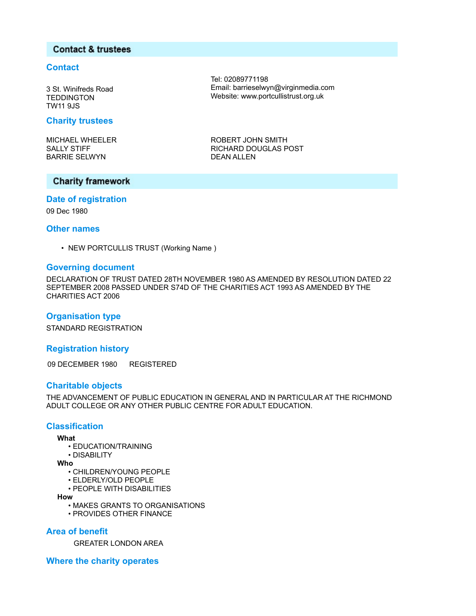## **Contact & trustees**

#### **Contact**

3 St. Winifreds Road **TEDDINGTON** TW11 9JS

#### Charity trustees

MICHAEL WHEELER SALLY STIFF BARRIE SELWYN

Tel: 02089771198 Email: barrieselwyn@virginmedia.com Website: www.portcullistrust.org.uk

ROBERT JOHN SMITH RICHARD DOUGLAS POST DEAN ALLEN

# **Charity framework**

# Date of registration

09 Dec 1980

#### Other names

• NEW PORTCULLIS TRUST (Working Name )

### Governing document

DECLARATION OF TRUST DATED 28TH NOVEMBER 1980 AS AMENDED BY RESOLUTION DATED 22 SEPTEMBER 2008 PASSED UNDER S74D OF THE CHARITIES ACT 1993 AS AMENDED BY THE CHARITIES ACT 2006

#### Organisation type

STANDARD REGISTRATION

#### Registration history

09 DECEMBER 1980 REGISTERED

#### Charitable objects

THE ADVANCEMENT OF PUBLIC EDUCATION IN GENERAL AND IN PARTICULAR AT THE RICHMOND ADULT COLLEGE OR ANY OTHER PUBLIC CENTRE FOR ADULT EDUCATION.

### **Classification**

#### What

- EDUCATION/TRAINING
- DISABILITY
- Who
	- CHILDREN/YOUNG PEOPLE
	- ELDERLY/OLD PEOPLE
	- PEOPLE WITH DISABILITIES
- How
	- MAKES GRANTS TO ORGANISATIONS
	- PROVIDES OTHER FINANCE

# Area of benefit

GREATER LONDON AREA

Where the charity operates